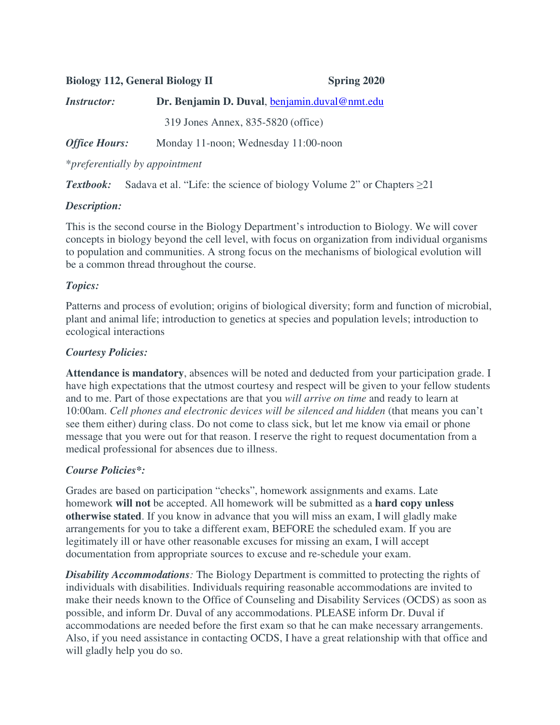| <b>Biology 112, General Biology II</b> |                                               | <b>Spring 2020</b> |  |
|----------------------------------------|-----------------------------------------------|--------------------|--|
| <i><b>Instructor:</b></i>              | Dr. Benjamin D. Duval, benjamin.duval@nmt.edu |                    |  |
|                                        | 319 Jones Annex, 835-5820 (office)            |                    |  |
| <b>Office Hours:</b>                   | Monday 11-noon; Wednesday 11:00-noon          |                    |  |
|                                        |                                               |                    |  |

\**preferentially by appointment*

*Textbook:* Sadava et al. "Life: the science of biology Volume 2" or Chapters ≥21

# *Description:*

This is the second course in the Biology Department's introduction to Biology. We will cover concepts in biology beyond the cell level, with focus on organization from individual organisms to population and communities. A strong focus on the mechanisms of biological evolution will be a common thread throughout the course.

# *Topics:*

Patterns and process of evolution; origins of biological diversity; form and function of microbial, plant and animal life; introduction to genetics at species and population levels; introduction to ecological interactions

# *Courtesy Policies:*

**Attendance is mandatory**, absences will be noted and deducted from your participation grade. I have high expectations that the utmost courtesy and respect will be given to your fellow students and to me. Part of those expectations are that you *will arrive on time* and ready to learn at 10:00am. *Cell phones and electronic devices will be silenced and hidden* (that means you can't see them either) during class. Do not come to class sick, but let me know via email or phone message that you were out for that reason. I reserve the right to request documentation from a medical professional for absences due to illness.

# *Course Policies\*:*

Grades are based on participation "checks", homework assignments and exams. Late homework **will not** be accepted. All homework will be submitted as a **hard copy unless otherwise stated**. If you know in advance that you will miss an exam, I will gladly make arrangements for you to take a different exam, BEFORE the scheduled exam. If you are legitimately ill or have other reasonable excuses for missing an exam, I will accept documentation from appropriate sources to excuse and re-schedule your exam.

**Disability Accommodations**: The Biology Department is committed to protecting the rights of individuals with disabilities. Individuals requiring reasonable accommodations are invited to make their needs known to the Office of Counseling and Disability Services (OCDS) as soon as possible, and inform Dr. Duval of any accommodations. PLEASE inform Dr. Duval if accommodations are needed before the first exam so that he can make necessary arrangements. Also, if you need assistance in contacting OCDS, I have a great relationship with that office and will gladly help you do so.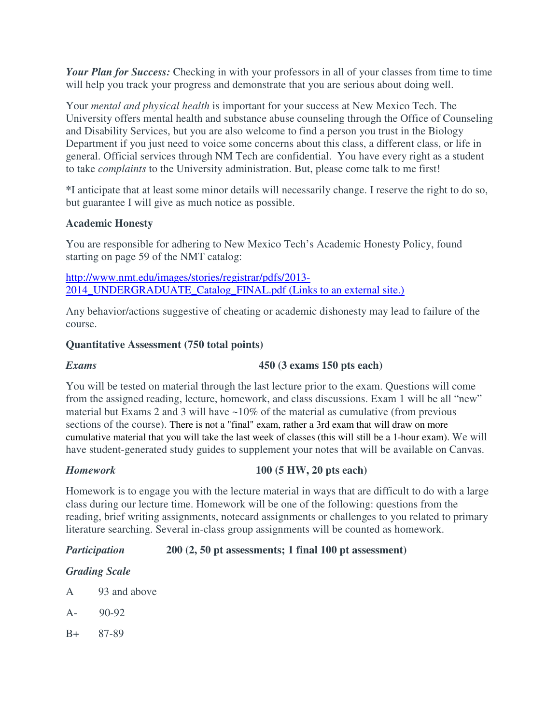*Your Plan for Success:* Checking in with your professors in all of your classes from time to time will help you track your progress and demonstrate that you are serious about doing well.

Your *mental and physical health* is important for your success at New Mexico Tech. The University offers mental health and substance abuse counseling through the Office of Counseling and Disability Services, but you are also welcome to find a person you trust in the Biology Department if you just need to voice some concerns about this class, a different class, or life in general. Official services through NM Tech are confidential. You have every right as a student to take *complaints* to the University administration. But, please come talk to me first!

**\***I anticipate that at least some minor details will necessarily change. I reserve the right to do so, but guarantee I will give as much notice as possible.

# **Academic Honesty**

You are responsible for adhering to New Mexico Tech's Academic Honesty Policy, found starting on page 59 of the NMT catalog:

http://www.nmt.edu/images/stories/registrar/pdfs/2013- 2014\_UNDERGRADUATE\_Catalog\_FINAL.pdf (Links to an external site.)

Any behavior/actions suggestive of cheating or academic dishonesty may lead to failure of the course.

### **Quantitative Assessment (750 total points)**

### *Exams* **450 (3 exams 150 pts each)**

You will be tested on material through the last lecture prior to the exam. Questions will come from the assigned reading, lecture, homework, and class discussions. Exam 1 will be all "new" material but Exams 2 and 3 will have  $\sim$ 10% of the material as cumulative (from previous sections of the course). There is not a "final" exam, rather a 3rd exam that will draw on more cumulative material that you will take the last week of classes (this will still be a 1-hour exam). We will have student-generated study guides to supplement your notes that will be available on Canvas.

#### *Homework* **100 (5 HW, 20 pts each)**

Homework is to engage you with the lecture material in ways that are difficult to do with a large class during our lecture time. Homework will be one of the following: questions from the reading, brief writing assignments, notecard assignments or challenges to you related to primary literature searching. Several in-class group assignments will be counted as homework.

# *Participation* **200 (2, 50 pt assessments; 1 final 100 pt assessment)**

# *Grading Scale*

- A 93 and above
- A- 90-92
- B+ 87-89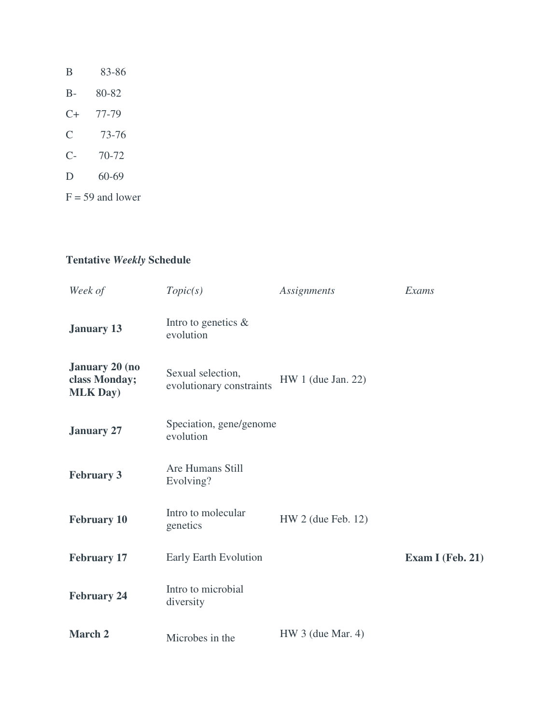| B                    | 83-86              |
|----------------------|--------------------|
| $B -$                | 80-82              |
| $C+$                 | 77-79              |
| $\overline{C}$       | 73-76              |
| $\mathsf{C}\text{-}$ | 70-72              |
| D                    | 60-69              |
|                      | $F = 59$ and lower |

# **Tentative** *Weekly* **Schedule**

| Week of                                                    | Topic(s)                                      | Assignments          | Exams            |
|------------------------------------------------------------|-----------------------------------------------|----------------------|------------------|
| <b>January 13</b>                                          | Intro to genetics &<br>evolution              |                      |                  |
| <b>January 20 (no</b><br>class Monday;<br><b>MLK Day</b> ) | Sexual selection,<br>evolutionary constraints | $HW 1$ (due Jan. 22) |                  |
| <b>January 27</b>                                          | Speciation, gene/genome<br>evolution          |                      |                  |
| <b>February 3</b>                                          | Are Humans Still<br>Evolving?                 |                      |                  |
| <b>February 10</b>                                         | Intro to molecular<br>genetics                | $HW 2$ (due Feb. 12) |                  |
| <b>February 17</b>                                         | Early Earth Evolution                         |                      | Exam I (Feb. 21) |
| <b>February 24</b>                                         | Intro to microbial<br>diversity               |                      |                  |
| <b>March 2</b>                                             | Microbes in the                               | $HW 3$ (due Mar. 4)  |                  |